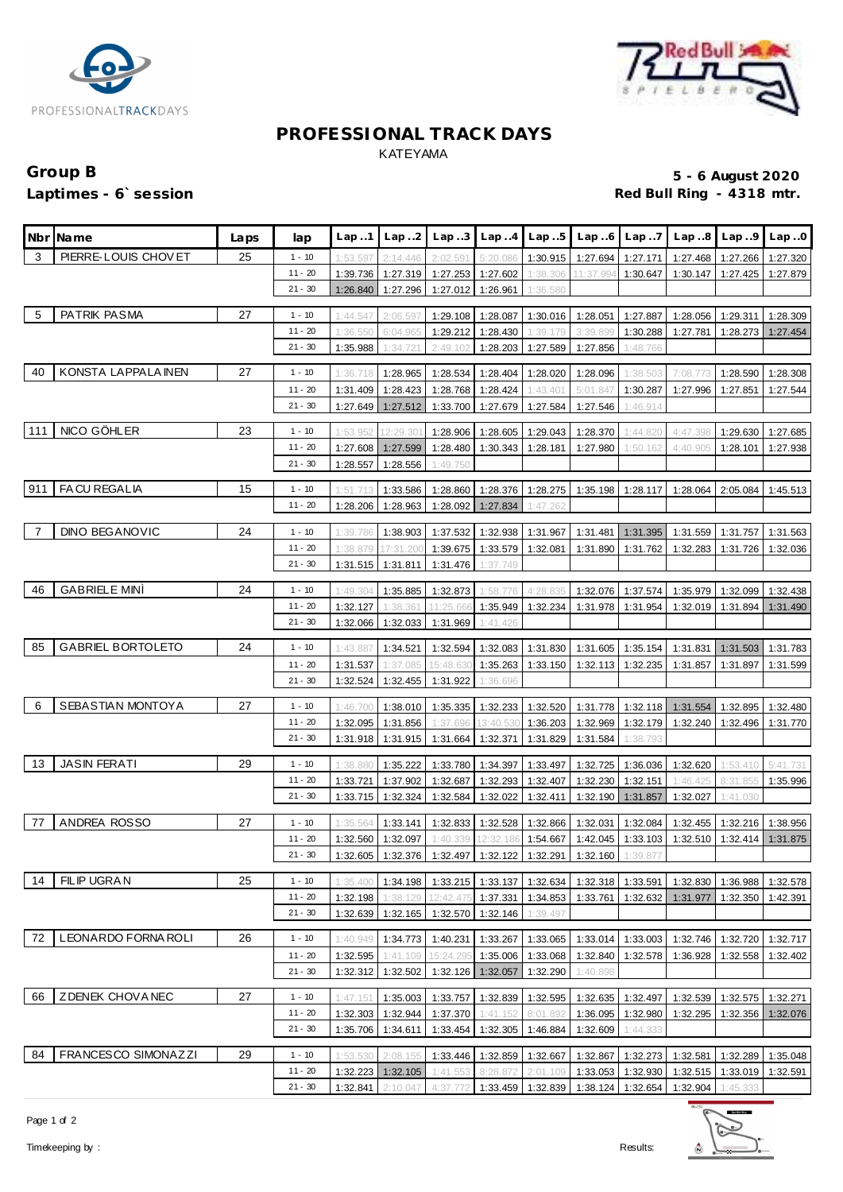



# **PROFESSIONAL TRACK DAYS** KATEYAMA

# **Group B 5 - 6 August 2020** Red Bull Ring - 4318 mtr.

|                | Nbr Name                 | Laps | lap       | Lap.1                | Lap2                 | Lap.3                 | Lap.4                                                          | Lap.5               |           | $Lap.6$ $Lap.7$   |                            | $Lap.8$ $Lap.9$ | Lap.0    |
|----------------|--------------------------|------|-----------|----------------------|----------------------|-----------------------|----------------------------------------------------------------|---------------------|-----------|-------------------|----------------------------|-----------------|----------|
| 3              | PIERRE-LOUIS CHOVET      | 25   | $1 - 10$  | 1:53.597             | 2:14.446             | 2:02.591              | 5:20.086                                                       | 1:30.915            | 1:27.694  | 1:27.171          | 1:27.468                   | 1:27.266        | 1:27.320 |
|                |                          |      | $11 - 20$ | 1:39.736             | 1:27.319             | 1:27.253              | 1:27.602                                                       | 1:38.306            | 11:37.994 | 1:30.647          | 1:30.147                   | 1:27.425        | 1:27.879 |
|                |                          |      | $21 - 30$ | 1:26.840             | 1:27.296             | 1:27.012 1:26.961     |                                                                | 1:36.580            |           |                   |                            |                 |          |
| 5              | PATRIK PASMA             | 27   | $1 - 10$  | 1:44.547             | 2:06.59              | 1:29.108              |                                                                | 1:28.087   1:30.016 | 1:28.051  | 1:27.887          | 1:28.056                   | 1:29.311        | 1:28.309 |
|                |                          |      | $11 - 20$ | 1:36.550             | 6:04.965             |                       | 1:29.212 1:28.430                                              | 1:39.179            | 3:39.899  | 1:30.288          | 1:27.781   1:28.273        |                 | 1:27.454 |
|                |                          |      | $21 - 30$ | 1:35.988             | 1:34.721             | 2:49.102              |                                                                | 1:28.203 1:27.589   | 1:27.856  | 1:48.766          |                            |                 |          |
| 40             | KONSTA LAPPALA INEN      | 27   | $1 - 10$  | 1:36.718             | 1:28.965             | 1:28.534              | 1:28.404                                                       | 1:28.020            | 1:28.096  | 1:38.503          | 7:08.773                   | 1:28.590        | 1:28.308 |
|                |                          |      | $11 - 20$ | 1:31.409             | 1:28.423             | 1:28.768              | 1:28.424                                                       | 1:43.40'            | 5:01.847  | 1:30.287          | 1:27.996                   | 1:27.851        | 1:27.544 |
|                |                          |      | $21 - 30$ | 1:27.649             | 1:27.512             | 1:33.700              | 1:27.679                                                       | 1:27.584            | 1:27.546  | 1:46.914          |                            |                 |          |
|                |                          |      |           |                      |                      |                       |                                                                |                     |           |                   |                            |                 |          |
| 111            | NICO GÖHLER              | 23   | $1 - 10$  | 1:53.952             | 12:29.30             | 1:28.906              | 1:28.605                                                       | 1:29.043            | 1:28.370  | 1:44.82           | 4:47.398                   | 1:29.630        | 1:27.685 |
|                |                          |      | $11 - 20$ | 1:27.608             | 1:27.599             | 1:28.480              | 1:30.343                                                       | 1:28.181            | 1:27.980  | 1:50.162          | 4:40.905                   | 1:28.101        | 1:27.938 |
|                |                          |      | $21 - 30$ | 1:28.557             | 1:28.556             | 1:49.750              |                                                                |                     |           |                   |                            |                 |          |
| 911            | FA CU REGALIA            | 15   | $1 - 10$  | 1:51.71              | 1:33.586             | 1:28.860              | 1:28.376                                                       | 1:28.275            | 1:35.198  | 1:28.117          | 1:28.064                   | 2:05.084        | 1:45.513 |
|                |                          |      | $11 - 20$ | 1:28.206             | 1:28.963             | 1:28.092              | 1:27.834                                                       | 1:47.262            |           |                   |                            |                 |          |
|                |                          |      |           |                      |                      |                       |                                                                |                     |           |                   |                            |                 |          |
| $\overline{7}$ | DINO BEGANOVIC           | 24   | $1 - 10$  | 1:39.786             | 1:38.903             | 1:37.532              | 1:32.938                                                       | 1:31.967            | 1:31.481  | 1:31.395          | 1:31.559                   | 1:31.757        | 1:31.563 |
|                |                          |      | $11 - 20$ | 1:38.879             | 17:31.200            | 1:39.675              | 1:33.579                                                       | 1:32.081            | 1:31.890  | 1:31.762          | 1:32.283                   | 1:31.726        | 1:32.036 |
|                |                          |      | $21 - 30$ | 1:31.515             | 1:31.811             | 1:31.476              | 1:37.749                                                       |                     |           |                   |                            |                 |          |
| 46             | <b>GABRIELE MINI</b>     | 24   | $1 - 10$  |                      |                      |                       |                                                                |                     |           |                   |                            |                 |          |
|                |                          |      | $11 - 20$ | 1:49.304             | 1:35.885             | 1:32.873              | 1:58.776                                                       | 4:28.835            |           | 1:32.076 1:37.574 | 1:35.979                   | 1:32.099        | 1:32.438 |
|                |                          |      | $21 - 30$ | 1:32.127<br>1:32.066 | 1:38.361<br>1:32.033 | 11:25.666<br>1:31.969 | 1:41.426                                                       | 1:35.949 1:32.234   | 1:31.978  | 1:31.954          | 1:32.019                   | 1:31.894        | 1:31.490 |
|                |                          |      |           |                      |                      |                       |                                                                |                     |           |                   |                            |                 |          |
| 85             | <b>GABRIEL BORTOLETO</b> | 24   | $1 - 10$  | 1:43.887             | 1:34.521             | 1:32.594              | 1:32.083                                                       | 1:31.830            | 1:31.605  | 1:35.154          | 1:31.831                   | 1:31.503        | 1:31.783 |
|                |                          |      | $11 - 20$ | 1:31.537             | 1:37.085             | 15:48.63              | 1:35.263                                                       | 1:33.150            | 1:32.113  | 1:32.235          | 1:31.857                   | 1:31.897        | 1:31.599 |
|                |                          |      | $21 - 30$ | 1:32.524             | 1:32.455             | 1:31.922              | 1:36.696                                                       |                     |           |                   |                            |                 |          |
| - 6            | SEBASTIAN MONTOYA        | 27   | $1 - 10$  | 1:46.700             | 1:38.010             | 1:35.335              |                                                                | 1:32.233 1:32.520   |           |                   | 1:31.778 1:32.118 1:31.554 | 1:32.895        | 1:32.480 |
|                |                          |      | $11 - 20$ | 1:32.095             | 1:31.856             | 1:37.696              | 13:40.530                                                      | 1:36.203            | 1:32.969  |                   | 1:32.179 1:32.240          | 1:32.496        | 1:31.770 |
|                |                          |      | $21 - 30$ | 1:31.918             | 1:31.915             | 1:31.664              | 1:32.371                                                       | 1:31.829            | 1:31.584  | 1:38.793          |                            |                 |          |
|                |                          |      |           |                      |                      |                       |                                                                |                     |           |                   |                            |                 |          |
| 13             | <b>JASIN FERATI</b>      | 29   | $1 - 10$  | 1:38.880             | 1:35.222             |                       | 1:33.780 1:34.397 1:33.497                                     |                     | 1:32.725  | 1:36.036          | 1:32.620                   | 1:53.410        | 5:41.731 |
|                |                          |      | $11 - 20$ | 1:33.721             | 1:37.902             | 1:32.687              | 1:32.293                                                       | 1:32.407            | 1:32.230  | 1:32.151          | 1:46.425                   | 8:31.855        | 1:35.996 |
|                |                          |      | $21 - 30$ | 1:33.715             | 1:32.324             | 1:32.584              | 1:32.022                                                       | 1:32.411            | 1:32.190  | 1:31.857          | 1:32.027                   | 1:41.030        |          |
| 77             | ANDREA ROSSO             | 27   | $1 - 10$  | 1:35.564             | 1:33.141             | 1:32.833              |                                                                | 1:32.528 1:32.866   | 1:32.031  | 1:32.084          | 1:32.455                   | 1:32.216        | 1:38.956 |
|                |                          |      | $11 - 20$ | 1:32.560             | 1:32.097             | 1:40.339              | 12:32.186                                                      | 1:54.667            | 1:42.045  | 1:33.103          | 1:32.510                   | 1:32.414        | 1:31.875 |
|                |                          |      | $21 - 30$ |                      |                      |                       | 1:32.605 1:32.376 1:32.497 1:32.122 1:32.291 1:32.160 1:39.877 |                     |           |                   |                            |                 |          |
|                |                          |      |           |                      |                      |                       |                                                                |                     |           |                   |                            |                 |          |
| 14             | FILIP UGRAN              | 25   | $1 - 10$  | 1:35.400             | 1:34.198             | 1:33.215              | 1:33.137                                                       | 1:32.634            | 1:32.318  | 1:33.591          | 1:32.830                   | 1:36.988        | 1:32.578 |
|                |                          |      | 11 - 20   | 1:32.198             | 1:38.129             | 12:42.475             | 1:37.331                                                       | 1:34.853            | 1:33.761  | 1:32.632          | 1:31.977                   | 1:32.350        | 1:42.391 |
|                |                          |      | $21 - 30$ | 1:32.639             | 1:32.165             | 1:32.570              | 1:32.146                                                       | 1:39.497            |           |                   |                            |                 |          |
| 72             | LEONARDO FORNAROLI       | 26   | $1 - 10$  | 1:40.949             | 1:34.773             | 1:40.231              | 1:33.267                                                       | 1:33.065            | 1:33.014  | 1:33.003          | 1:32.746                   | 1:32.720        | 1:32.717 |
|                |                          |      | 11 - 20   | 1:32.595             | 1:41.109             | 15:24.29              |                                                                | 1:35.006 1:33.068   | 1:32.840  | 1:32.578          | 1:36.928                   | 1:32.558        | 1:32.402 |
|                |                          |      | $21 - 30$ | 1:32.312             | 1:32.502             | 1:32.126              | 1:32.057                                                       | 1:32.290            | 1:40.898  |                   |                            |                 |          |
|                |                          |      |           |                      |                      |                       |                                                                |                     |           |                   |                            |                 |          |
| 66             | Z DENEK CHOV A NEC       | 27   | $1 - 10$  | 1:47.151             | 1:35.003             | 1:33.757              |                                                                | 1:32.839 1:32.595   |           | 1:32.635 1:32.497 | 1:32.539                   | 1:32.575        | 1:32.271 |
|                |                          |      | 11 - 20   | 1:32.303             | 1:32.944             | 1:37.370              | 1:41.152                                                       | 8:01.892            | 1:36.095  | 1:32.980          | 1:32.295                   | 1:32.356        | 1:32.076 |
|                |                          |      | $21 - 30$ | 1:35.706             | 1:34.611             | 1:33.454              | 1:32.305                                                       | 1:46.884            | 1:32.609  | 1:44.333          |                            |                 |          |
| 84             | FRANCESCO SIMONAZZI      | 29   | $1 - 10$  | 1:53.530             | 2:08.155             | 1:33.446              | 1:32.859                                                       | 1:32.667            | 1:32.867  | 1:32.273          | 1:32.581                   | 1:32.289        | 1:35.048 |
|                |                          |      | $11 - 20$ | 1:32.223             | 1:32.105             | 1:41.553              | 8:28.872                                                       | 2:01.109            | 1:33.053  | 1:32.930          | 1:32.515                   | 1:33.019        | 1:32.591 |
|                |                          |      | $21 - 30$ | 1:32.841             | 2:10.047             | 4:37.772              |                                                                | 1:33.459 1:32.839   | 1:38.124  | 1:32.654          | 1:32.904                   | 1:45.333        |          |